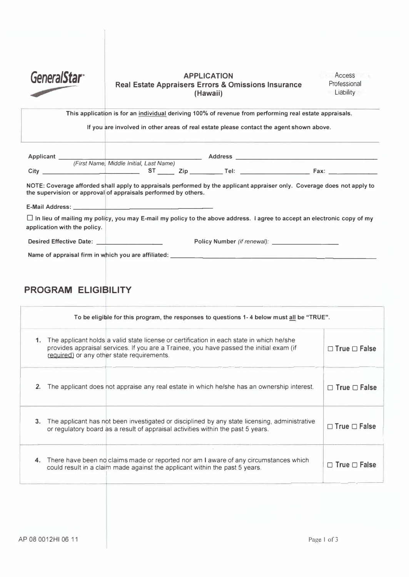

# **GeneralStar Real Estate Appraisers Errors & Omissions Insurance (Hawaii)**

**This application is for an individual deriving 100% of revenue from performing real estate appraisals.** 

**If you are involved in other areas of real estate please contact the agent shown above.** 

| <b>Applicant</b> |                                         | <b>Address</b> |             |
|------------------|-----------------------------------------|----------------|-------------|
|                  | (First Name, Middle Initial, Last Name) |                |             |
| City             |                                         | ⊤el:           | <b>Fax:</b> |

**NOTE: Coverage afforded shall apply to appraisals performed by the applicant appraiser only. Coverage does not apply to the supervision or approval of appraisals performed by others.** 

**E-Mail Address: \_\_\_\_\_\_\_\_\_\_\_\_\_\_\_\_ \_**

0 **In lieu of mailing** *my* **policy, you may E-mail** *my* **policy to the above address. I agree to accept an electronic copy of** *my* **application with the policy.** 

**Desired Effective Date: \_\_\_\_\_\_\_ \_ Policy Number** *(if renewal):* **\_\_\_\_\_\_\_ \_** 

Name of appraisal firm in which you are affiliated: \_\_\_\_\_\_\_\_\_\_\_\_\_\_\_\_\_\_\_\_\_\_\_\_\_\_\_\_\_\_

# **PROGRAM ELIGIBILITY**

|         | To be eligible for this program, the responses to questions 1-4 below must all be "TRUE".                                                                                                                                         |                          |
|---------|-----------------------------------------------------------------------------------------------------------------------------------------------------------------------------------------------------------------------------------|--------------------------|
| 1.      | The applicant holds a valid state license or certification in each state in which he/she<br>provides appraisal services. If you are a Trainee, you have passed the initial exam (if<br>required) or any other state requirements. | $\Box$ True $\Box$ False |
| 2.      | The applicant does not appraise any real estate in which he/she has an ownership interest.                                                                                                                                        | $\Box$ True $\Box$ False |
| $3_{-}$ | The applicant has not been investigated or disciplined by any state licensing, administrative<br>or regulatory board as a result of appraisal activities within the past 5 years.                                                 | $\Box$ True $\Box$ False |
|         | 4. There have been no claims made or reported nor am I aware of any circumstances which<br>could result in a claim made against the applicant within the past 5 years.                                                            | $\Box$ True $\Box$ False |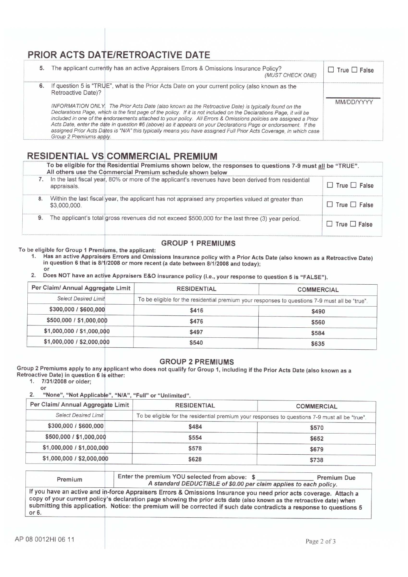## PRIOR ACTS DATE/RETROACTIVE DATE

| 5. | The applicant currently has an active Appraisers Errors & Omissions Insurance Policy?<br>(MUST CHECK ONE)                                                                                                                                                                                                                                                                                                                                                                                                                                                                                                            | $\Box$ True $\Box$ False |
|----|----------------------------------------------------------------------------------------------------------------------------------------------------------------------------------------------------------------------------------------------------------------------------------------------------------------------------------------------------------------------------------------------------------------------------------------------------------------------------------------------------------------------------------------------------------------------------------------------------------------------|--------------------------|
| 6. | If question 5 is "TRUE", what is the Prior Acts Date on your current policy (also known as the<br>Retroactive Date)?                                                                                                                                                                                                                                                                                                                                                                                                                                                                                                 |                          |
|    | INFORMATION ONLY. The Prior Acts Date (also known as the Retroactive Date) is typically found on the<br>Declarations Page, which is the first page of the policy. If it is not included on the Declarations Page, it will be<br>included in one of the endorsements attached to your policy. All Errors & Omissions policies are assigned a Prior<br>Acts Date, enter the date in question #6 (above) as it appears on your Declarations Page or endorsement. If the<br>assigned Prior Acts Dates is "N/A" this typically means you have assigned Full Prior Acts Coverage, in which case<br>Group 2 Premiums apply. | MM/DD/YYYY               |

### **RESIDENTIAL VS COMMERCIAL PREMIUM**

|    | To be eligible for the Residential Premiums shown below, the responses to questions 7-9 must all be "TRUE".<br>All others use the Commercial Premium schedule shown below |                                                                                                     |                          |  |
|----|---------------------------------------------------------------------------------------------------------------------------------------------------------------------------|-----------------------------------------------------------------------------------------------------|--------------------------|--|
|    | appraisals.                                                                                                                                                               | In the last fiscal year, 80% or more of the applicant's revenues have been derived from residential | $\Box$ True $\Box$ False |  |
| 8. | \$3,000,000.                                                                                                                                                              | Within the last fiscal year, the applicant has not appraised any properties valued at greater than  | $\Box$ True $\Box$ False |  |
| 9. |                                                                                                                                                                           | The applicant's total gross revenues did not exceed \$500,000 for the last three (3) year period.   | $\Box$ True $\Box$ False |  |

### **GROUP 1 PREMIUMS**

To be eligible for Group 1 Premiums, the applicant:

- 1. Has an active Appraisers Errors and Omissions Insurance policy with a Prior Acts Date (also known as a Retroactive Date) in question 6 that is 8/1/2008 or more recent (a date between 8/1/2008 and today); or
- $2.$ Does NOT have an active Appraisers E&O insurance policy (i.e., your response to question 5 is "FALSE").

| Per Claim/ Annual Aggregate Limit | <b>RESIDENTIAL</b>                                                                             | <b>COMMERCIAL</b> |  |
|-----------------------------------|------------------------------------------------------------------------------------------------|-------------------|--|
| <b>Select Desired Limit</b>       | To be eligible for the residential premium your responses to questions 7-9 must all be "true". |                   |  |
| \$300,000 / \$600,000             | \$416                                                                                          | \$490             |  |
| \$500,000 / \$1,000,000           | \$476                                                                                          | \$560             |  |
| \$1,000,000 / \$1,000,000         | \$497                                                                                          | \$584             |  |
| \$1,000,000 / \$2,000,000         | \$540                                                                                          | \$635             |  |

#### **GROUP 2 PREMIUMS**

Group 2 Premiums apply to any applicant who does not qualify for Group 1, including if the Prior Acts Date (also known as a Retroactive Date) in question 6 is either:

 $1.$ 7/31/2008 or older;

or  $2.$ 

"None", "Not Applicable", "N/A", "Full" or "Unlimited".

| Per Claim/ Annual Aggregate Limit | <b>RESIDENTIAL</b>                                                                             | <b>COMMERCIAL</b> |
|-----------------------------------|------------------------------------------------------------------------------------------------|-------------------|
| <b>Select Desired Limit</b>       | To be eligible for the residential premium your responses to questions 7-9 must all be "true". |                   |
| \$300,000 / \$600,000             | \$484                                                                                          | \$570             |
| \$500,000 / \$1,000,000           | \$554                                                                                          | \$652             |
| \$1,000,000 / \$1,000,000         | \$578                                                                                          | \$679             |
| \$1,000,000 / \$2,000,000         | \$628                                                                                          | \$738             |

| Premium | Enter the premium YOU selected from above: \$<br>A standard DEDUCTIBLE of \$0.00 per claim applies to each policy.                                                                                                                                                                                                                                                 | Premium Due |
|---------|--------------------------------------------------------------------------------------------------------------------------------------------------------------------------------------------------------------------------------------------------------------------------------------------------------------------------------------------------------------------|-------------|
| or 6.   | If you have an active and in-force Appraisers Errors & Omissions Insurance you need prior acts coverage. Attach a<br>copy of your current policy's declaration page showing the prior acts date (also known as the retroactive date) when<br>submitting this application. Notice: the premium will be corrected if such date contradicts a response to questions 5 |             |